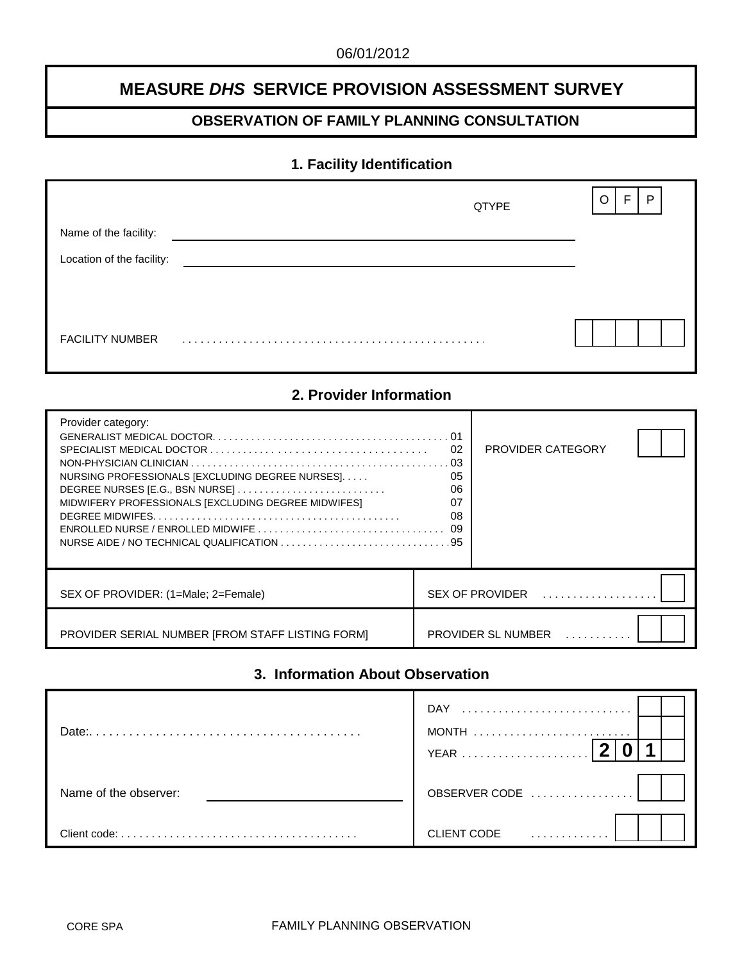# **MEASURE** *DHS* **SERVICE PROVISION ASSESSMENT SURVEY**

## **OBSERVATION OF FAMILY PLANNING CONSULTATION**

## **1. Facility Identification**

|                           | QTYPE | F.<br>$\mathsf{P}$<br>O |
|---------------------------|-------|-------------------------|
| Name of the facility:     |       |                         |
| Location of the facility: |       |                         |
|                           |       |                         |
|                           |       |                         |
| <b>FACILITY NUMBER</b>    |       |                         |

# **2. Provider Information**

| Provider category:<br>NURSING PROFESSIONALS [EXCLUDING DEGREE NURSES]<br>MIDWIFERY PROFESSIONALS [EXCLUDING DEGREE MIDWIFES]<br>$ENROLLED NURSE / ENROLLED MIDWIFE           $ | 01<br>02<br>03<br>05<br>06<br>07<br>08<br>09 | PROVIDER CATEGORY                               |  |
|--------------------------------------------------------------------------------------------------------------------------------------------------------------------------------|----------------------------------------------|-------------------------------------------------|--|
| SEX OF PROVIDER: (1=Male; 2=Female)                                                                                                                                            |                                              | $SEX$ OF PROVIDER $\ldots \ldots \ldots \ldots$ |  |
| PROVIDER SERIAL NUMBER [FROM STAFF LISTING FORM]                                                                                                                               |                                              | PROVIDER SL NUMBER                              |  |

# **3. Information About Observation**

| Date:                 | <b>DAY</b><br><b>YEAR</b> |
|-----------------------|---------------------------|
| Name of the observer: | OBSERVER CODE             |
| Client code:          | <b>CLIENT CODE</b>        |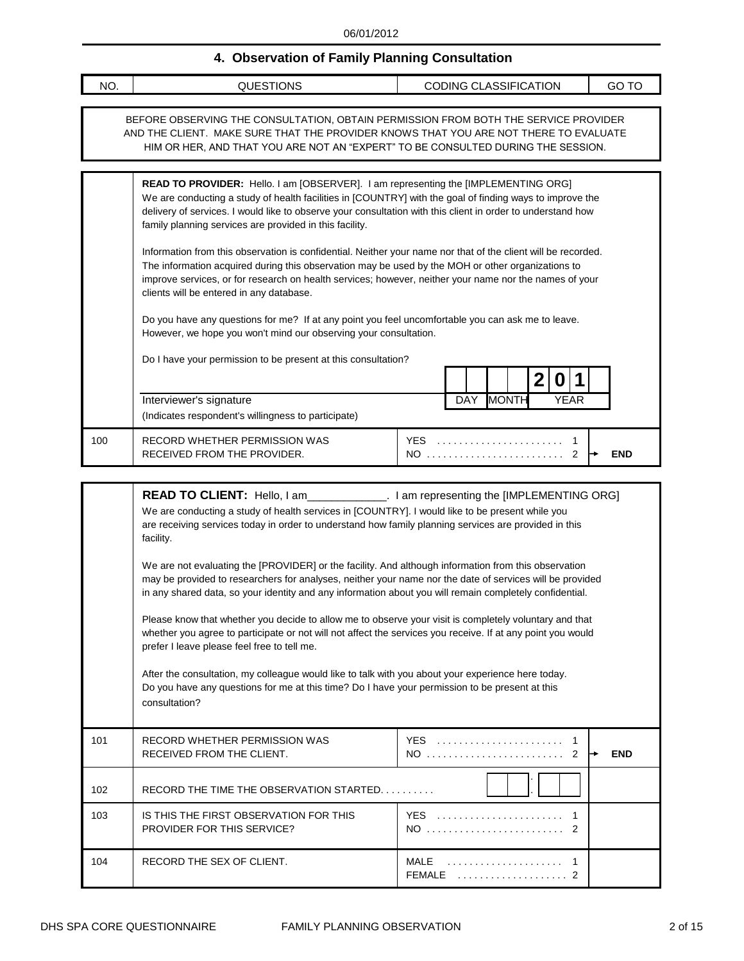# **4. Observation of Family Planning Consultation**

| 4. ODSERVATION OF FAMILY Planning Consultation |                                                                                                                                                                                                                                                                                                                                                                                 |                              |       |  |
|------------------------------------------------|---------------------------------------------------------------------------------------------------------------------------------------------------------------------------------------------------------------------------------------------------------------------------------------------------------------------------------------------------------------------------------|------------------------------|-------|--|
| NO.                                            | <b>QUESTIONS</b>                                                                                                                                                                                                                                                                                                                                                                | <b>CODING CLASSIFICATION</b> | GO TO |  |
|                                                |                                                                                                                                                                                                                                                                                                                                                                                 |                              |       |  |
|                                                | BEFORE OBSERVING THE CONSULTATION, OBTAIN PERMISSION FROM BOTH THE SERVICE PROVIDER<br>AND THE CLIENT. MAKE SURE THAT THE PROVIDER KNOWS THAT YOU ARE NOT THERE TO EVALUATE<br>HIM OR HER, AND THAT YOU ARE NOT AN "EXPERT" TO BE CONSULTED DURING THE SESSION.                                                                                                                 |                              |       |  |
|                                                | <b>READ TO PROVIDER:</b> Hello. I am [OBSERVER]. I am representing the [IMPLEMENTING ORG]<br>We are conducting a study of health facilities in [COUNTRY] with the goal of finding ways to improve the<br>delivery of services. I would like to observe your consultation with this client in order to understand how<br>family planning services are provided in this facility. |                              |       |  |
|                                                | Information from this observation is confidential. Neither your name nor that of the client will be recorded.<br>The information acquired during this observation may be used by the MOH or other organizations to<br>improve services, or for research on health services; however, neither your name nor the names of your<br>clients will be entered in any database.        |                              |       |  |
|                                                | Do you have any questions for me? If at any point you feel uncomfortable you can ask me to leave.<br>However, we hope you won't mind our observing your consultation.                                                                                                                                                                                                           |                              |       |  |
|                                                | Do I have your permission to be present at this consultation?                                                                                                                                                                                                                                                                                                                   |                              |       |  |

|     | Do I have your permission to be present at this consultation?                  |                                 |
|-----|--------------------------------------------------------------------------------|---------------------------------|
|     |                                                                                |                                 |
|     | Interviewer's signature<br>(Indicates respondent's willingness to participate) | <b>MONTH</b><br>YEAR<br>DAY     |
| 100 | RECORD WHETHER PERMISSION WAS<br>RECEIVED FROM THE PROVIDER.                   | <b>YFS</b><br>NO.<br><b>END</b> |

|     | READ TO CLIENT: Hello, I am______________. I am representing the [IMPLEMENTING ORG]<br>We are conducting a study of health services in [COUNTRY]. I would like to be present while you<br>are receiving services today in order to understand how family planning services are provided in this<br>facility.<br>We are not evaluating the [PROVIDER] or the facility. And although information from this observation                                                                          |                                                               |
|-----|-----------------------------------------------------------------------------------------------------------------------------------------------------------------------------------------------------------------------------------------------------------------------------------------------------------------------------------------------------------------------------------------------------------------------------------------------------------------------------------------------|---------------------------------------------------------------|
|     | may be provided to researchers for analyses, neither your name nor the date of services will be provided<br>in any shared data, so your identity and any information about you will remain completely confidential.                                                                                                                                                                                                                                                                           |                                                               |
|     | Please know that whether you decide to allow me to observe your visit is completely voluntary and that<br>whether you agree to participate or not will not affect the services you receive. If at any point you would<br>prefer I leave please feel free to tell me.<br>After the consultation, my colleague would like to talk with you about your experience here today.<br>Do you have any questions for me at this time? Do I have your permission to be present at this<br>consultation? |                                                               |
| 101 | RECORD WHETHER PERMISSION WAS<br>RECEIVED FROM THE CLIENT.                                                                                                                                                                                                                                                                                                                                                                                                                                    | YES  1<br>NO  2<br><b>END</b>                                 |
| 102 | RECORD THE TIME THE OBSERVATION STARTED                                                                                                                                                                                                                                                                                                                                                                                                                                                       |                                                               |
| 103 | IS THIS THE FIRST OBSERVATION FOR THIS<br><b>PROVIDER FOR THIS SERVICE?</b>                                                                                                                                                                                                                                                                                                                                                                                                                   | <b>YES</b><br>$\overline{1}$<br>NO  2                         |
| 104 | RECORD THE SEX OF CLIENT.                                                                                                                                                                                                                                                                                                                                                                                                                                                                     | $\overline{1}$<br>FEMALE $\ldots \ldots \ldots \ldots \ldots$ |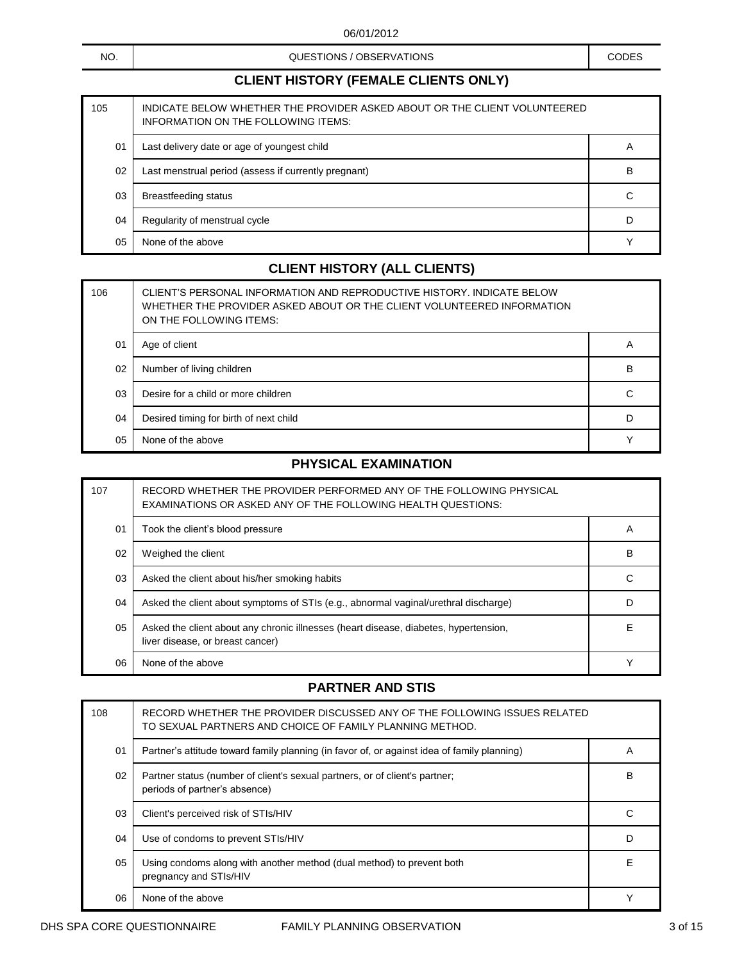NO.

QUESTIONS / OBSERVATIONS CODES

## **CLIENT HISTORY (FEMALE CLIENTS ONLY)**

| 105 | INDICATE BELOW WHETHER THE PROVIDER ASKED ABOUT OR THE CLIENT VOLUNTEERED<br>INFORMATION ON THE FOLLOWING ITEMS: |   |
|-----|------------------------------------------------------------------------------------------------------------------|---|
| 01  | Last delivery date or age of youngest child                                                                      | A |
| 02  | Last menstrual period (assess if currently pregnant)                                                             | B |
| 03  | Breastfeeding status                                                                                             | С |
| 04  | Regularity of menstrual cycle                                                                                    | D |
| 05  | None of the above                                                                                                |   |

## **CLIENT HISTORY (ALL CLIENTS)**

| 106 | CLIENT'S PERSONAL INFORMATION AND REPRODUCTIVE HISTORY. INDICATE BELOW<br>WHETHER THE PROVIDER ASKED ABOUT OR THE CLIENT VOLUNTEERED INFORMATION<br>ON THE FOLLOWING ITEMS: |   |
|-----|-----------------------------------------------------------------------------------------------------------------------------------------------------------------------------|---|
| 01  | Age of client                                                                                                                                                               | A |
| 02  | Number of living children                                                                                                                                                   | B |
| 03  | Desire for a child or more children                                                                                                                                         | C |
| 04  | Desired timing for birth of next child                                                                                                                                      | D |
| 05  | None of the above                                                                                                                                                           |   |

## **PHYSICAL EXAMINATION**

| 107 | RECORD WHETHER THE PROVIDER PERFORMED ANY OF THE FOLLOWING PHYSICAL<br>EXAMINATIONS OR ASKED ANY OF THE FOLLOWING HEALTH QUESTIONS: |   |
|-----|-------------------------------------------------------------------------------------------------------------------------------------|---|
| 01  | Took the client's blood pressure                                                                                                    | A |
| 02  | Weighed the client                                                                                                                  | B |
| 03  | Asked the client about his/her smoking habits                                                                                       |   |
| 04  | Asked the client about symptoms of STIs (e.g., abnormal vaginal/urethral discharge)                                                 |   |
| 05  | Asked the client about any chronic illnesses (heart disease, diabetes, hypertension,<br>liver disease, or breast cancer)            | F |
| 06  | None of the above                                                                                                                   |   |

#### **PARTNER AND STIS**

| 108            | RECORD WHETHER THE PROVIDER DISCUSSED ANY OF THE FOLLOWING ISSUES RELATED<br>TO SEXUAL PARTNERS AND CHOICE OF FAMILY PLANNING METHOD. |                |
|----------------|---------------------------------------------------------------------------------------------------------------------------------------|----------------|
| 0 <sub>1</sub> | Partner's attitude toward family planning (in favor of, or against idea of family planning)                                           | $\overline{A}$ |
| 02             | Partner status (number of client's sexual partners, or of client's partner;<br>periods of partner's absence)                          | B              |
| 03             | Client's perceived risk of STIs/HIV                                                                                                   |                |
| 04             | Use of condoms to prevent STIs/HIV                                                                                                    |                |
| 05             | Using condoms along with another method (dual method) to prevent both<br>pregnancy and STIs/HIV                                       | F              |
| 06             | None of the above                                                                                                                     |                |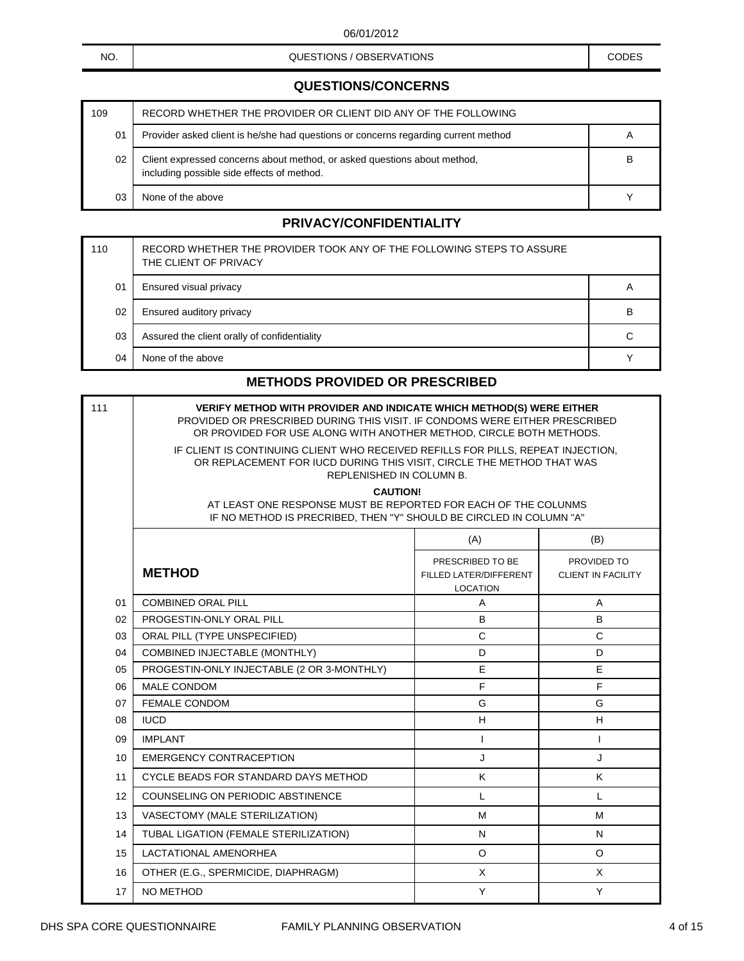#### NO. NO. NO. A CODES CONSUMING A CODES CODES CODES CODES AND CODES

# **CLIENT HISTORY (FEMALE CLIENTS ONLY) QUESTIONS/CONCERNS**

| 109 | RECORD WHETHER THE PROVIDER OR CLIENT DID ANY OF THE FOLLOWING                                                         |   |
|-----|------------------------------------------------------------------------------------------------------------------------|---|
| 01  | Provider asked client is he/she had questions or concerns regarding current method                                     | A |
| 02  | Client expressed concerns about method, or asked questions about method,<br>including possible side effects of method. | в |
| 03  | None of the above                                                                                                      |   |

### **PRIVACY/CONFIDENTIALITY**

| 110 | RECORD WHETHER THE PROVIDER TOOK ANY OF THE FOLLOWING STEPS TO ASSURE<br>THE CLIENT OF PRIVACY |   |
|-----|------------------------------------------------------------------------------------------------|---|
| 01  | Ensured visual privacy                                                                         | A |
| 02  | Ensured auditory privacy                                                                       | B |
| 03  | Assured the client orally of confidentiality                                                   | C |
| 04  | None of the above                                                                              |   |

#### **METHODS PROVIDED OR PRESCRIBED**

| 111 | <b>VERIFY METHOD WITH PROVIDER AND INDICATE WHICH METHOD(S) WERE EITHER</b><br>PROVIDED OR PRESCRIBED DURING THIS VISIT. IF CONDOMS WERE EITHER PRESCRIBED<br>OR PROVIDED FOR USE ALONG WITH ANOTHER METHOD, CIRCLE BOTH METHODS. |                                                               |                                          |  |
|-----|-----------------------------------------------------------------------------------------------------------------------------------------------------------------------------------------------------------------------------------|---------------------------------------------------------------|------------------------------------------|--|
|     | IF CLIENT IS CONTINUING CLIENT WHO RECEIVED REFILLS FOR PILLS, REPEAT INJECTION,<br>OR REPLACEMENT FOR IUCD DURING THIS VISIT, CIRCLE THE METHOD THAT WAS<br>REPLENISHED IN COLUMN B.                                             |                                                               |                                          |  |
|     | <b>CAUTION!</b><br>AT LEAST ONE RESPONSE MUST BE REPORTED FOR EACH OF THE COLUNMS<br>IF NO METHOD IS PRECRIBED, THEN "Y" SHOULD BE CIRCLED IN COLUMN "A"                                                                          |                                                               |                                          |  |
|     |                                                                                                                                                                                                                                   | (A)                                                           | (B)                                      |  |
|     | <b>METHOD</b>                                                                                                                                                                                                                     | PRESCRIBED TO BE<br>FILLED LATER/DIFFERENT<br><b>LOCATION</b> | PROVIDED TO<br><b>CLIENT IN FACILITY</b> |  |
| 01  | <b>COMBINED ORAL PILL</b>                                                                                                                                                                                                         | A                                                             | $\overline{A}$                           |  |
| 02  | PROGESTIN-ONLY ORAL PILL                                                                                                                                                                                                          | B                                                             | B                                        |  |
| 03  | ORAL PILL (TYPE UNSPECIFIED)                                                                                                                                                                                                      | $\mathsf{C}$                                                  | $\mathbf C$                              |  |
| 04  | COMBINED INJECTABLE (MONTHLY)                                                                                                                                                                                                     | D                                                             | D                                        |  |
| 05  | PROGESTIN-ONLY INJECTABLE (2 OR 3-MONTHLY)                                                                                                                                                                                        | E                                                             | E                                        |  |
| 06  | <b>MALE CONDOM</b>                                                                                                                                                                                                                | F                                                             | F                                        |  |
| 07  | <b>FEMALE CONDOM</b>                                                                                                                                                                                                              | G                                                             | G                                        |  |
| 08  | <b>IUCD</b>                                                                                                                                                                                                                       | H                                                             | H                                        |  |
| 09  | <b>IMPLANT</b>                                                                                                                                                                                                                    | $\mathbf{I}$                                                  | $\mathbf{I}$                             |  |
| 10  | <b>EMERGENCY CONTRACEPTION</b>                                                                                                                                                                                                    | J                                                             | J                                        |  |
| 11  | CYCLE BEADS FOR STANDARD DAYS METHOD                                                                                                                                                                                              | K                                                             | K                                        |  |
| 12  | <b>COUNSELING ON PERIODIC ABSTINENCE</b>                                                                                                                                                                                          | L                                                             | $\mathsf{L}$                             |  |
| 13  | VASECTOMY (MALE STERILIZATION)                                                                                                                                                                                                    | м                                                             | м                                        |  |
| 14  | TUBAL LIGATION (FEMALE STERILIZATION)                                                                                                                                                                                             | N                                                             | N                                        |  |
| 15  | <b>LACTATIONAL AMENORHEA</b>                                                                                                                                                                                                      | O                                                             | $\circ$                                  |  |
| 16  | OTHER (E.G., SPERMICIDE, DIAPHRAGM)                                                                                                                                                                                               | X                                                             | X                                        |  |
| 17  | NO METHOD                                                                                                                                                                                                                         | Y                                                             | Y                                        |  |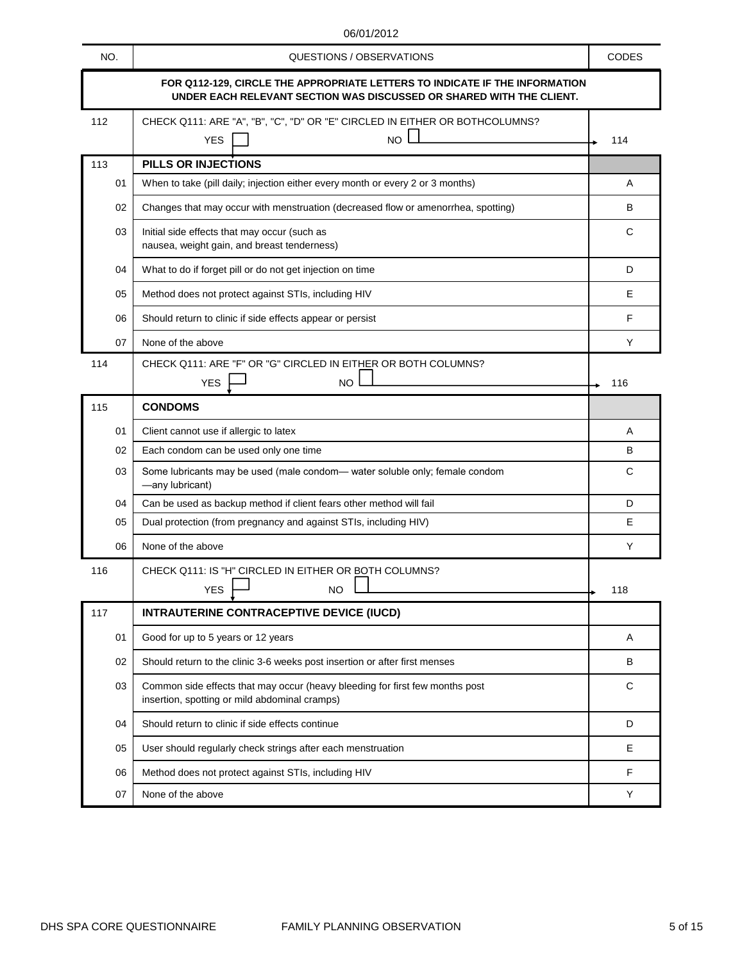|     | 00/01/4014                                                                                                                                          |              |
|-----|-----------------------------------------------------------------------------------------------------------------------------------------------------|--------------|
| NO. | QUESTIONS / OBSERVATIONS                                                                                                                            | <b>CODES</b> |
|     | FOR Q112-129, CIRCLE THE APPROPRIATE LETTERS TO INDICATE IF THE INFORMATION<br>UNDER EACH RELEVANT SECTION WAS DISCUSSED OR SHARED WITH THE CLIENT. |              |
| 112 | CHECK Q111: ARE "A", "B", "C", "D" OR "E" CIRCLED IN EITHER OR BOTHCOLUMNS?                                                                         |              |
|     | <b>NO</b><br><b>YES</b>                                                                                                                             | 114          |
| 113 | PILLS OR INJECTIONS                                                                                                                                 |              |
| 01  | When to take (pill daily; injection either every month or every 2 or 3 months)                                                                      | A            |
| 02  | Changes that may occur with menstruation (decreased flow or amenorrhea, spotting)                                                                   | B            |
| 03  | Initial side effects that may occur (such as                                                                                                        | С            |
|     | nausea, weight gain, and breast tenderness)                                                                                                         |              |
| 04  | What to do if forget pill or do not get injection on time                                                                                           | D            |
| 05  | Method does not protect against STIs, including HIV                                                                                                 | Е            |
| 06  | Should return to clinic if side effects appear or persist                                                                                           | F            |
| 07  | None of the above                                                                                                                                   | Y            |
| 114 | CHECK Q111: ARE "F" OR "G" CIRCLED IN EITHER OR BOTH COLUMNS?                                                                                       |              |
|     | <b>NO</b><br><b>YES</b>                                                                                                                             | 116          |
| 115 | <b>CONDOMS</b>                                                                                                                                      |              |
| 01  | Client cannot use if allergic to latex                                                                                                              | Α            |
| 02  | Each condom can be used only one time                                                                                                               | B            |
| 03  | Some lubricants may be used (male condom- water soluble only; female condom<br>-any lubricant)                                                      | C            |
| 04  | Can be used as backup method if client fears other method will fail                                                                                 | D            |
| 05  | Dual protection (from pregnancy and against STIs, including HIV)                                                                                    | Е            |
| 06  | None of the above                                                                                                                                   | Y            |
| 116 | CHECK Q111: IS "H" CIRCLED IN EITHER OR BOTH COLUMNS?                                                                                               |              |
|     | <b>YES</b><br><b>NO</b>                                                                                                                             | 118          |
| 117 | INTRAUTERINE CONTRACEPTIVE DEVICE (IUCD)                                                                                                            |              |
| 01  | Good for up to 5 years or 12 years                                                                                                                  | Α            |
| 02  | Should return to the clinic 3-6 weeks post insertion or after first menses                                                                          | B            |
| 03  | Common side effects that may occur (heavy bleeding for first few months post<br>insertion, spotting or mild abdominal cramps)                       | C            |
| 04  | Should return to clinic if side effects continue                                                                                                    | D            |
| 05  | User should regularly check strings after each menstruation                                                                                         | Е            |
| 06  | Method does not protect against STIs, including HIV                                                                                                 | F            |
| 07  | None of the above                                                                                                                                   | Y            |
|     |                                                                                                                                                     |              |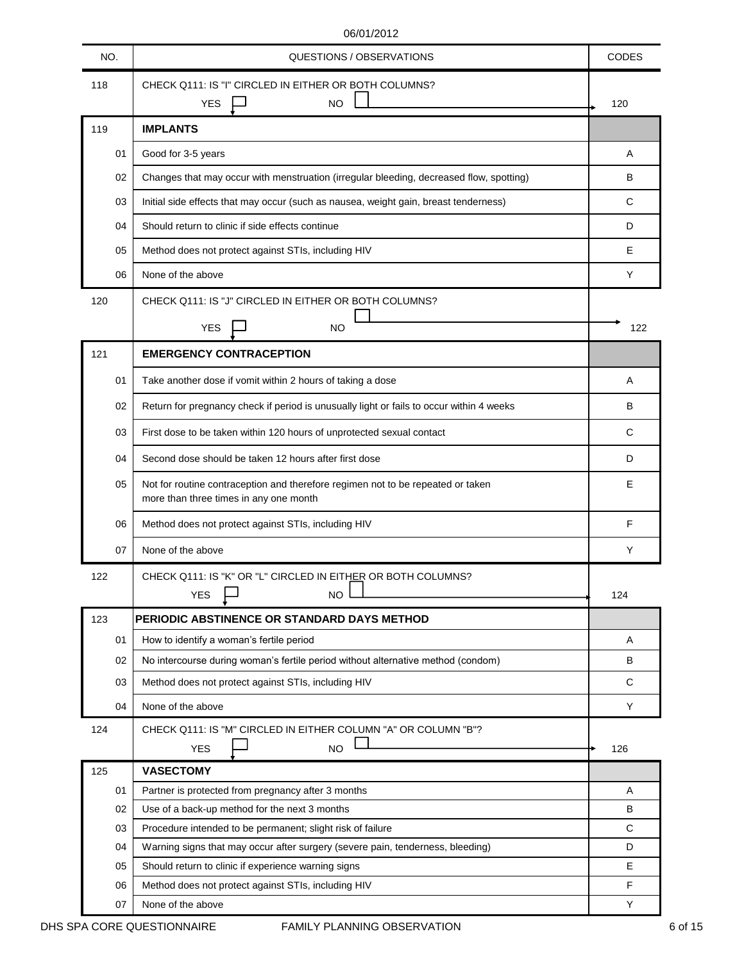| NO.      | QUESTIONS / OBSERVATIONS                                                                                                                     | <b>CODES</b> |
|----------|----------------------------------------------------------------------------------------------------------------------------------------------|--------------|
| 118      | CHECK Q111: IS "I" CIRCLED IN EITHER OR BOTH COLUMNS?<br><b>NO</b><br><b>YES</b>                                                             | 120          |
| 119      | <b>IMPLANTS</b>                                                                                                                              |              |
| 01       | Good for 3-5 years                                                                                                                           | Α            |
| 02       | Changes that may occur with menstruation (irregular bleeding, decreased flow, spotting)                                                      | B            |
| 03       | Initial side effects that may occur (such as nausea, weight gain, breast tenderness)                                                         | C            |
| 04       | Should return to clinic if side effects continue                                                                                             | D            |
| 05       | Method does not protect against STIs, including HIV                                                                                          | Е            |
| 06       | None of the above                                                                                                                            | Y            |
| 120      | CHECK Q111: IS "J" CIRCLED IN EITHER OR BOTH COLUMNS?                                                                                        |              |
|          | <b>YES</b><br>NO.                                                                                                                            | 122          |
| 121      | <b>EMERGENCY CONTRACEPTION</b>                                                                                                               |              |
| 01       | Take another dose if vomit within 2 hours of taking a dose                                                                                   | Α            |
| 02       | Return for pregnancy check if period is unusually light or fails to occur within 4 weeks                                                     | B            |
| 03       | First dose to be taken within 120 hours of unprotected sexual contact                                                                        | C            |
| 04       | Second dose should be taken 12 hours after first dose                                                                                        | D            |
| 05       | Not for routine contraception and therefore regimen not to be repeated or taken<br>more than three times in any one month                    | Е            |
| 06       | Method does not protect against STIs, including HIV                                                                                          | F            |
| 07       | None of the above                                                                                                                            | Y            |
| 122      | CHECK Q111: IS "K" OR "L" CIRCLED IN EITHER OR BOTH COLUMNS?<br><b>YES</b><br><b>NO</b>                                                      | 124          |
| 123      | PERIODIC ABSTINENCE OR STANDARD DAYS METHOD                                                                                                  |              |
| 01       | How to identify a woman's fertile period                                                                                                     | Α            |
| 02       | No intercourse during woman's fertile period without alternative method (condom)                                                             | B            |
| 03       | Method does not protect against STIs, including HIV                                                                                          | C            |
| 04       | None of the above                                                                                                                            | Y            |
| 124      | CHECK Q111: IS "M" CIRCLED IN EITHER COLUMN "A" OR COLUMN "B"?<br><b>NO</b><br><b>YES</b>                                                    | 126          |
| 125      | <b>VASECTOMY</b>                                                                                                                             |              |
| 01       | Partner is protected from pregnancy after 3 months                                                                                           | Α            |
| 02       | Use of a back-up method for the next 3 months                                                                                                | B            |
| 03<br>04 | Procedure intended to be permanent; slight risk of failure<br>Warning signs that may occur after surgery (severe pain, tenderness, bleeding) | C<br>D       |
| 05       | Should return to clinic if experience warning signs                                                                                          | Е            |
| 06       | Method does not protect against STIs, including HIV                                                                                          | F            |
| 07       | None of the above                                                                                                                            | Y            |
|          |                                                                                                                                              |              |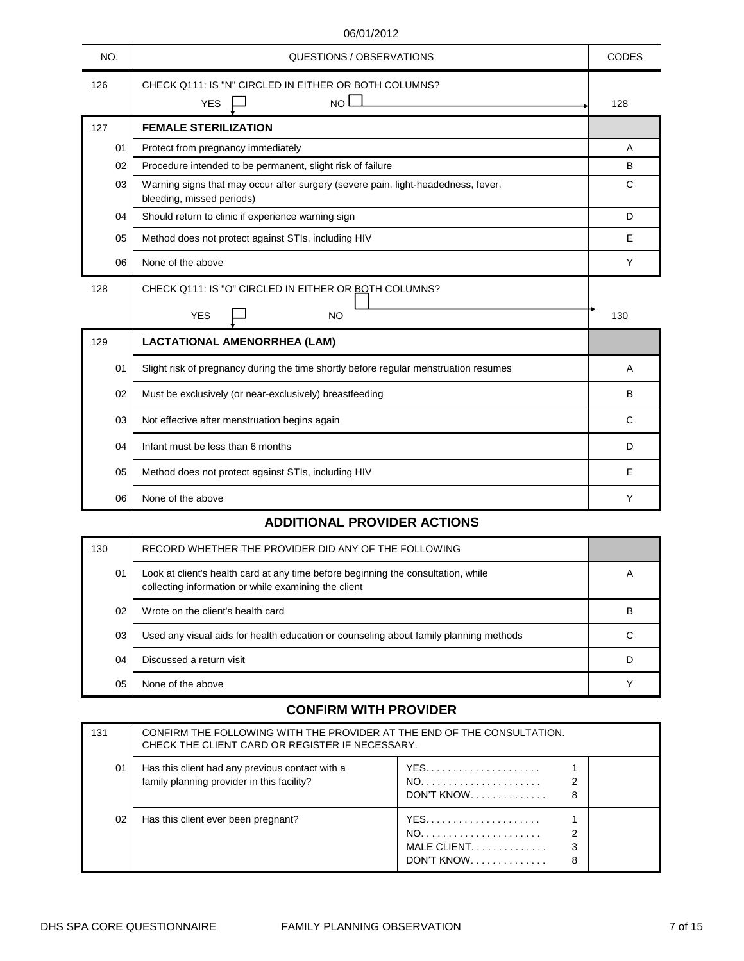| NO. | QUESTIONS / OBSERVATIONS                                                                                       | <b>CODES</b> |
|-----|----------------------------------------------------------------------------------------------------------------|--------------|
| 126 | CHECK Q111: IS "N" CIRCLED IN EITHER OR BOTH COLUMNS?<br>NO<br><b>YES</b>                                      | 128          |
| 127 | <b>FEMALE STERILIZATION</b>                                                                                    |              |
| 01  | Protect from pregnancy immediately                                                                             | A            |
| 02  | Procedure intended to be permanent, slight risk of failure                                                     | B            |
| 03  | Warning signs that may occur after surgery (severe pain, light-headedness, fever,<br>bleeding, missed periods) | $\mathsf{C}$ |
| 04  | Should return to clinic if experience warning sign                                                             | D            |
| 05  | Method does not protect against STIs, including HIV                                                            | E            |
| 06  | None of the above                                                                                              | Y            |
| 128 | CHECK Q111: IS "O" CIRCLED IN EITHER OR BOTH COLUMNS?                                                          |              |
|     | <b>YES</b><br><b>NO</b>                                                                                        | 130          |
| 129 | <b>LACTATIONAL AMENORRHEA (LAM)</b>                                                                            |              |
| 01  | Slight risk of pregnancy during the time shortly before regular menstruation resumes                           | A            |
| 02  | Must be exclusively (or near-exclusively) breastfeeding                                                        | B            |
| 03  | Not effective after menstruation begins again                                                                  | C            |
| 04  | Infant must be less than 6 months                                                                              | D            |
| 05  | Method does not protect against STIs, including HIV                                                            | Е            |
|     | None of the above                                                                                              | Υ            |

## **ADDITIONAL PROVIDER ACTIONS**

| 130 | RECORD WHETHER THE PROVIDER DID ANY OF THE FOLLOWING                                                                                      |              |
|-----|-------------------------------------------------------------------------------------------------------------------------------------------|--------------|
| 01  | Look at client's health card at any time before beginning the consultation, while<br>collecting information or while examining the client | $\mathsf{H}$ |
| 02  | Wrote on the client's health card                                                                                                         | B            |
| 03  | Used any visual aids for health education or counseling about family planning methods                                                     |              |
| 04  | Discussed a return visit                                                                                                                  |              |
| 05  | None of the above                                                                                                                         |              |

## **CONFIRM WITH PROVIDER**

| 131 | CONFIRM THE FOLLOWING WITH THE PROVIDER AT THE END OF THE CONSULTATION.<br>CHECK THE CLIENT CARD OR REGISTER IF NECESSARY. |                                             |  |
|-----|----------------------------------------------------------------------------------------------------------------------------|---------------------------------------------|--|
| 01  | Has this client had any previous contact with a<br>family planning provider in this facility?                              | DON'T KNOW<br>8                             |  |
| 02  | Has this client ever been pregnant?                                                                                        | MALE CLIENT.<br>DON'T KNOW. $\ldots$ ,<br>8 |  |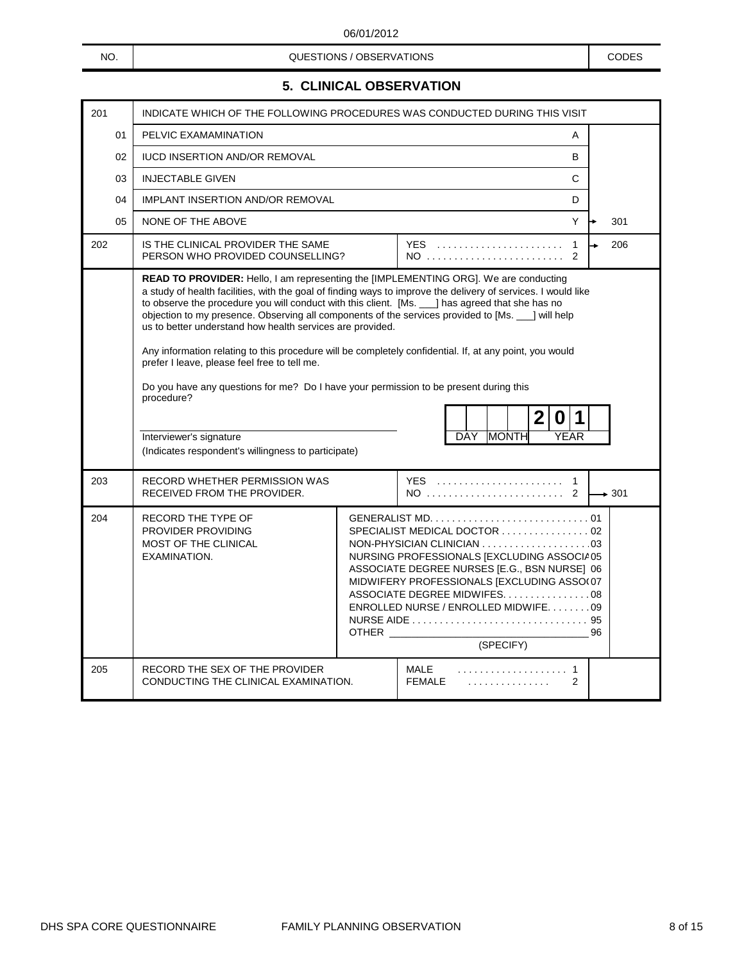NO. NO. NO. A CODES CONSUMING A CODES CODES CODES CODES AND CODES

# **5. CLINICAL OBSERVATION**

| 201 | INDICATE WHICH OF THE FOLLOWING PROCEDURES WAS CONDUCTED DURING THIS VISIT                                                                                                                                                                                                                                                                                                                                                                                                                                                                                                                                                                                                                                                                                                                                                     |  |                                                                                                                                                                                                                                                                |                   |
|-----|--------------------------------------------------------------------------------------------------------------------------------------------------------------------------------------------------------------------------------------------------------------------------------------------------------------------------------------------------------------------------------------------------------------------------------------------------------------------------------------------------------------------------------------------------------------------------------------------------------------------------------------------------------------------------------------------------------------------------------------------------------------------------------------------------------------------------------|--|----------------------------------------------------------------------------------------------------------------------------------------------------------------------------------------------------------------------------------------------------------------|-------------------|
| 01  | PELVIC EXAMAMINATION<br>Α                                                                                                                                                                                                                                                                                                                                                                                                                                                                                                                                                                                                                                                                                                                                                                                                      |  |                                                                                                                                                                                                                                                                |                   |
| 02  | <b>IUCD INSERTION AND/OR REMOVAL</b>                                                                                                                                                                                                                                                                                                                                                                                                                                                                                                                                                                                                                                                                                                                                                                                           |  | B                                                                                                                                                                                                                                                              |                   |
| 03  | <b>INJECTABLE GIVEN</b>                                                                                                                                                                                                                                                                                                                                                                                                                                                                                                                                                                                                                                                                                                                                                                                                        |  | C                                                                                                                                                                                                                                                              |                   |
| 04  | <b>IMPLANT INSERTION AND/OR REMOVAL</b>                                                                                                                                                                                                                                                                                                                                                                                                                                                                                                                                                                                                                                                                                                                                                                                        |  | D                                                                                                                                                                                                                                                              |                   |
| 05  | NONE OF THE ABOVE                                                                                                                                                                                                                                                                                                                                                                                                                                                                                                                                                                                                                                                                                                                                                                                                              |  | Y                                                                                                                                                                                                                                                              | 301               |
| 202 | IS THE CLINICAL PROVIDER THE SAME<br>PERSON WHO PROVIDED COUNSELLING?                                                                                                                                                                                                                                                                                                                                                                                                                                                                                                                                                                                                                                                                                                                                                          |  | <b>YES</b><br>$\mathbf{1}$<br>$\mathcal{P}$                                                                                                                                                                                                                    | 206               |
|     | READ TO PROVIDER: Hello, I am representing the [IMPLEMENTING ORG]. We are conducting<br>a study of health facilities, with the goal of finding ways to improve the delivery of services. I would like<br>to observe the procedure you will conduct with this client. [Ms. __] has agreed that she has no<br>objection to my presence. Observing all components of the services provided to [Ms. 10] will help<br>us to better understand how health services are provided.<br>Any information relating to this procedure will be completely confidential. If, at any point, you would<br>prefer I leave, please feel free to tell me.<br>Do you have any questions for me? Do I have your permission to be present during this<br>procedure?<br>Interviewer's signature<br>(Indicates respondent's willingness to participate) |  | $\overline{2}$<br>$\boldsymbol{0}$<br><b>YEAR</b><br><b>MONTH</b><br>DAY                                                                                                                                                                                       |                   |
| 203 | RECORD WHETHER PERMISSION WAS<br>RECEIVED FROM THE PROVIDER.                                                                                                                                                                                                                                                                                                                                                                                                                                                                                                                                                                                                                                                                                                                                                                   |  | YES  1<br>NO  2                                                                                                                                                                                                                                                | $\rightarrow$ 301 |
| 204 | RECORD THE TYPE OF<br>PROVIDER PROVIDING<br>MOST OF THE CLINICAL<br>EXAMINATION.                                                                                                                                                                                                                                                                                                                                                                                                                                                                                                                                                                                                                                                                                                                                               |  | SPECIALIST MEDICAL DOCTOR  02<br>NURSING PROFESSIONALS [EXCLUDING ASSOCIA05<br>ASSOCIATE DEGREE NURSES [E.G., BSN NURSE] 06<br>MIDWIFERY PROFESSIONALS [EXCLUDING ASSO(07<br>ASSOCIATE DEGREE MIDWIFES08<br>ENROLLED NURSE / ENROLLED MIDWIFE. 09<br>(SPECIFY) |                   |
| 205 | RECORD THE SEX OF THE PROVIDER<br>CONDUCTING THE CLINICAL EXAMINATION.                                                                                                                                                                                                                                                                                                                                                                                                                                                                                                                                                                                                                                                                                                                                                         |  | MALE<br><b>FEMALE</b><br>2<br>.                                                                                                                                                                                                                                |                   |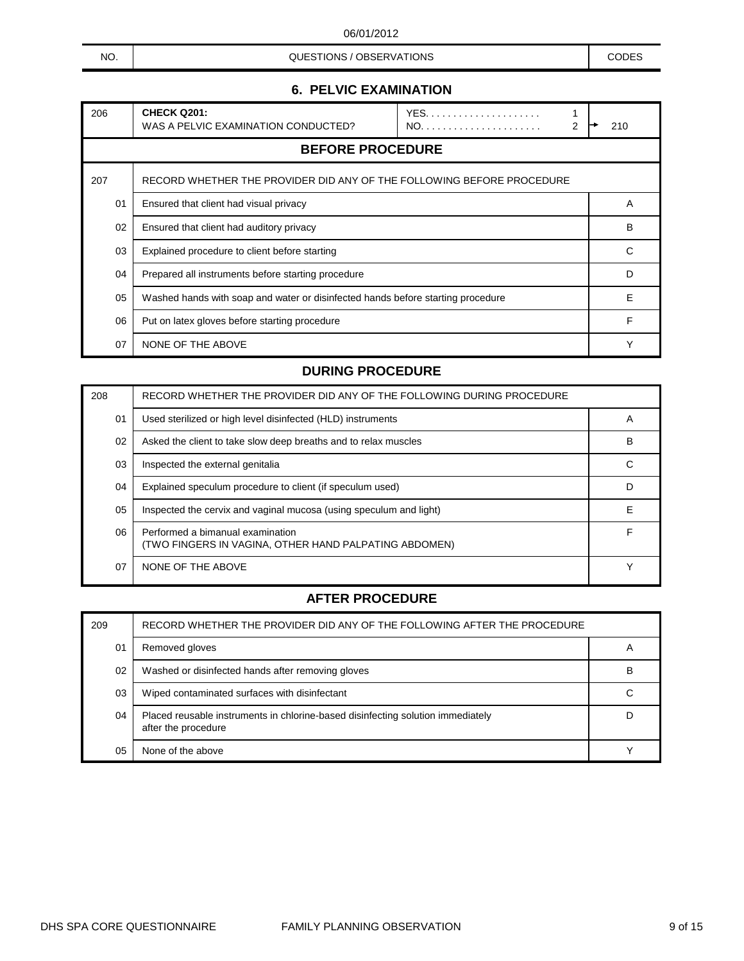NO. NO. NO. A CODES CONSUMING A CODES CODES CODES CODES AND CODES

# **6. PELVIC EXAMINATION**

| 206 | <b>CHECK Q201:</b><br>WAS A PELVIC EXAMINATION CONDUCTED?                       | 2 | 210 |
|-----|---------------------------------------------------------------------------------|---|-----|
|     | <b>BEFORE PROCEDURE</b>                                                         |   |     |
| 207 | RECORD WHETHER THE PROVIDER DID ANY OF THE FOLLOWING BEFORE PROCEDURE           |   |     |
| 01  | Ensured that client had visual privacy                                          |   | A   |
| 02  | Ensured that client had auditory privacy                                        |   | B   |
| 03  | Explained procedure to client before starting                                   |   | C   |
| 04  | Prepared all instruments before starting procedure                              |   | D   |
| 05  | Washed hands with soap and water or disinfected hands before starting procedure |   | Е   |
| 06  | Put on latex gloves before starting procedure                                   |   | F   |
| 07  | NONE OF THE ABOVE                                                               |   |     |

#### **DURING PROCEDURE**

| 208 | RECORD WHETHER THE PROVIDER DID ANY OF THE FOLLOWING DURING PROCEDURE                     |             |
|-----|-------------------------------------------------------------------------------------------|-------------|
| 01  | Used sterilized or high level disinfected (HLD) instruments                               | A           |
| 02  | Asked the client to take slow deep breaths and to relax muscles                           | в           |
| 03  | Inspected the external genitalia                                                          | С           |
| 04  | Explained speculum procedure to client (if speculum used)                                 | D           |
| 05  | Inspected the cervix and vaginal mucosa (using speculum and light)                        | Е           |
| 06  | Performed a bimanual examination<br>(TWO FINGERS IN VAGINA, OTHER HAND PALPATING ABDOMEN) | F           |
| 07  | NONE OF THE ABOVE                                                                         | $\check{ }$ |

| 209 | RECORD WHETHER THE PROVIDER DID ANY OF THE FOLLOWING AFTER THE PROCEDURE                               |   |
|-----|--------------------------------------------------------------------------------------------------------|---|
| 01  | Removed gloves                                                                                         |   |
| 02  | Washed or disinfected hands after removing gloves                                                      | B |
| 03  | Wiped contaminated surfaces with disinfectant                                                          |   |
| 04  | Placed reusable instruments in chlorine-based disinfecting solution immediately<br>after the procedure |   |
| 05  | None of the above                                                                                      |   |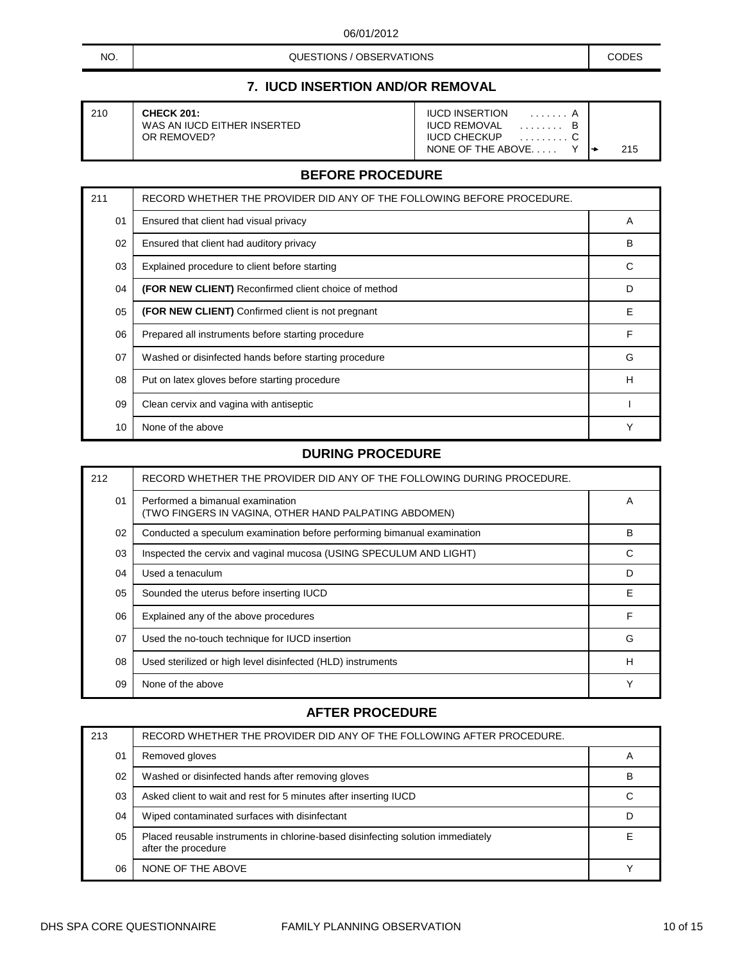| NO. | QUESTIONS / OBSERVATIONS | CODES |
|-----|--------------------------|-------|
|-----|--------------------------|-------|

# **7. IUCD INSERTION AND/OR REMOVAL**

| 210 | <b>CHECK 201:</b>           | <b>IUCD INSERTION</b> |     |
|-----|-----------------------------|-----------------------|-----|
|     | WAS AN IUCD EITHER INSERTED | <b>IUCD REMOVAL</b>   |     |
|     | OR REMOVED?                 | <b>IUCD CHECKUP</b>   |     |
|     |                             | NONE OF THE ABOVE     | 215 |

#### **BEFORE PROCEDURE**

| 211 | RECORD WHETHER THE PROVIDER DID ANY OF THE FOLLOWING BEFORE PROCEDURE. |   |
|-----|------------------------------------------------------------------------|---|
| 01  | Ensured that client had visual privacy                                 | A |
| 02  | Ensured that client had auditory privacy                               | в |
| 03  | Explained procedure to client before starting                          | C |
| 04  | (FOR NEW CLIENT) Reconfirmed client choice of method                   | D |
| 05  | (FOR NEW CLIENT) Confirmed client is not pregnant                      | Е |
| 06  | Prepared all instruments before starting procedure                     | F |
| 07  | Washed or disinfected hands before starting procedure                  | G |
| 08  | Put on latex gloves before starting procedure                          | н |
| 09  | Clean cervix and vagina with antiseptic                                |   |
| 10  | None of the above                                                      | Υ |

#### **DURING PROCEDURE**

| 212 | RECORD WHETHER THE PROVIDER DID ANY OF THE FOLLOWING DURING PROCEDURE.                    |             |
|-----|-------------------------------------------------------------------------------------------|-------------|
| 01  | Performed a bimanual examination<br>(TWO FINGERS IN VAGINA, OTHER HAND PALPATING ABDOMEN) | A           |
| 02  | Conducted a speculum examination before performing bimanual examination                   | B           |
| 03  | Inspected the cervix and vaginal mucosa (USING SPECULUM AND LIGHT)                        | C           |
| 04  | Used a tenaculum                                                                          | D           |
| 05  | Sounded the uterus before inserting IUCD                                                  | Е           |
| 06  | Explained any of the above procedures                                                     | F           |
| 07  | Used the no-touch technique for IUCD insertion                                            | G           |
| 08  | Used sterilized or high level disinfected (HLD) instruments                               | н           |
| 09  | None of the above                                                                         | $\check{ }$ |

| 213 | RECORD WHETHER THE PROVIDER DID ANY OF THE FOLLOWING AFTER PROCEDURE.                                  |   |
|-----|--------------------------------------------------------------------------------------------------------|---|
| 01  | Removed gloves                                                                                         |   |
| 02  | Washed or disinfected hands after removing gloves                                                      | в |
| 03  | Asked client to wait and rest for 5 minutes after inserting IUCD                                       |   |
| 04  | Wiped contaminated surfaces with disinfectant                                                          |   |
| 05  | Placed reusable instruments in chlorine-based disinfecting solution immediately<br>after the procedure |   |
| 06  | NONE OF THE ABOVE                                                                                      |   |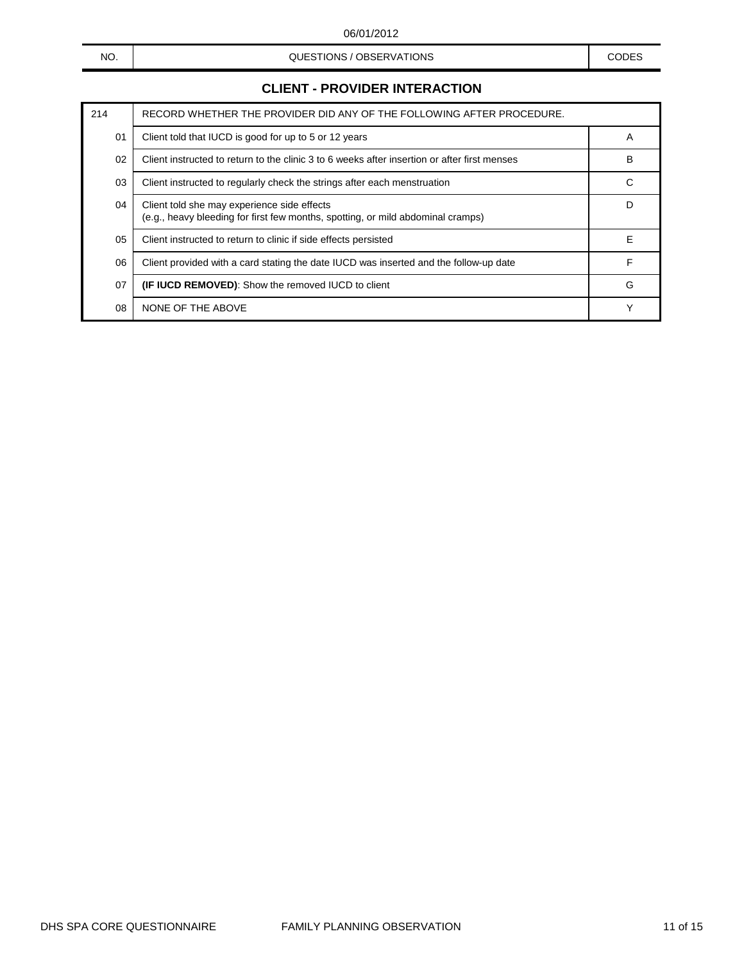#### NO. NO. NO. A CODES CONSUMING A CODES CODES CODES CODES AND CODES

# **CLIENT - PROVIDER INTERACTION**

| 214 | RECORD WHETHER THE PROVIDER DID ANY OF THE FOLLOWING AFTER PROCEDURE.                                                          |   |
|-----|--------------------------------------------------------------------------------------------------------------------------------|---|
| 01  | Client told that IUCD is good for up to 5 or 12 years                                                                          | A |
| 02  | Client instructed to return to the clinic 3 to 6 weeks after insertion or after first menses                                   | B |
| 03  | Client instructed to regularly check the strings after each menstruation                                                       | C |
| 04  | Client told she may experience side effects<br>(e.g., heavy bleeding for first few months, spotting, or mild abdominal cramps) | D |
| 05  | Client instructed to return to clinic if side effects persisted                                                                | Е |
| 06  | Client provided with a card stating the date IUCD was inserted and the follow-up date                                          | F |
| 07  | <b>(IF IUCD REMOVED):</b> Show the removed IUCD to client                                                                      | G |
| 08  | NONE OF THE ABOVE                                                                                                              | Υ |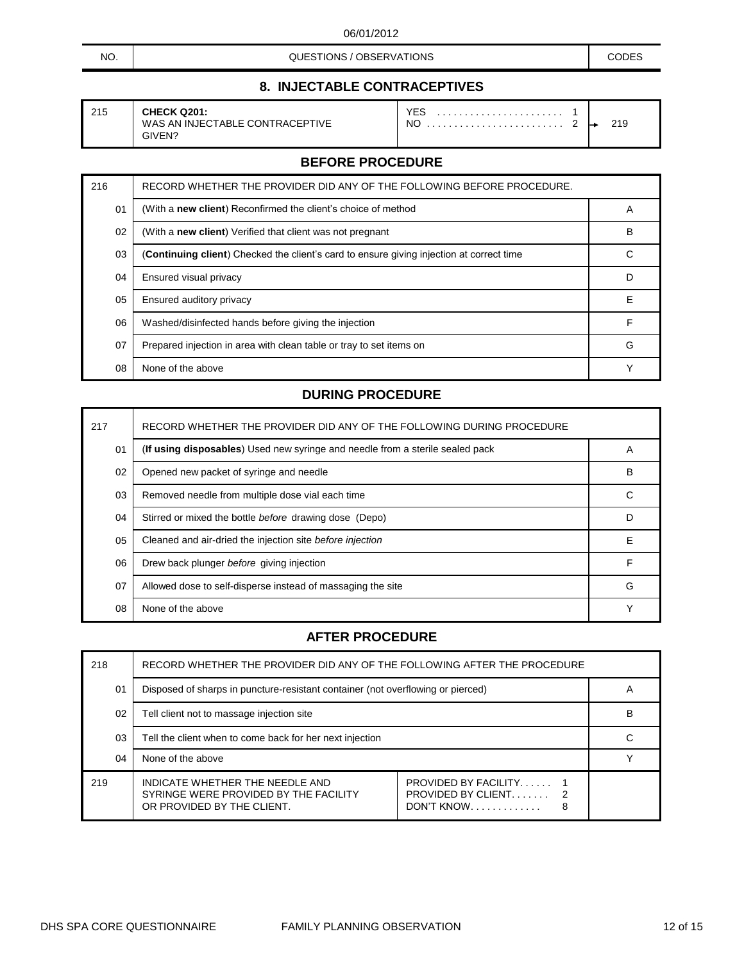NO. NO. CODES CONSTITIONS / OBSERVATIONS

# **8. INJECTABLE CONTRACEPTIVES**

| <b>CHECK Q201:</b><br>YES<br>215<br>WAS AN INJECTABLE CONTRACEPTIVE<br>NC<br>GIVEN? |
|-------------------------------------------------------------------------------------|
|-------------------------------------------------------------------------------------|

#### **CHECK Q201:** YES . . . . . . . . . . . . . . . . . . . . . . . 1  $\ldots \ldots \ldots \ldots$  . 2  $\rightarrow$  219

## **BEFORE PROCEDURE**

| 216 | RECORD WHETHER THE PROVIDER DID ANY OF THE FOLLOWING BEFORE PROCEDURE.                   |   |
|-----|------------------------------------------------------------------------------------------|---|
| 01  | (With a new client) Reconfirmed the client's choice of method                            | A |
| 02  | (With a new client) Verified that client was not pregnant                                | B |
| 03  | (Continuing client) Checked the client's card to ensure giving injection at correct time | С |
| 04  | Ensured visual privacy                                                                   | D |
| 05  | Ensured auditory privacy                                                                 | Е |
| 06  | Washed/disinfected hands before giving the injection                                     | F |
| 07  | Prepared injection in area with clean table or tray to set items on                      | G |
| 08  | None of the above                                                                        |   |

#### **DURING PROCEDURE**

| 217 | RECORD WHETHER THE PROVIDER DID ANY OF THE FOLLOWING DURING PROCEDURE         |   |
|-----|-------------------------------------------------------------------------------|---|
| 01  | (If using disposables) Used new syringe and needle from a sterile sealed pack | A |
| 02  | Opened new packet of syringe and needle                                       | B |
| 03  | Removed needle from multiple dose vial each time                              | C |
| 04  | Stirred or mixed the bottle before drawing dose (Depo)                        | D |
| 05  | Cleaned and air-dried the injection site before injection                     | Е |
| 06  | Drew back plunger before giving injection                                     | F |
| 07  | Allowed dose to self-disperse instead of massaging the site                   | G |
| 08  | None of the above                                                             | Υ |

| 218 | RECORD WHETHER THE PROVIDER DID ANY OF THE FOLLOWING AFTER THE PROCEDURE                               |                                                                             |  |
|-----|--------------------------------------------------------------------------------------------------------|-----------------------------------------------------------------------------|--|
| 01  | Disposed of sharps in puncture-resistant container (not overflowing or pierced)                        |                                                                             |  |
| 02  | Tell client not to massage injection site                                                              |                                                                             |  |
| 03  | Tell the client when to come back for her next injection                                               |                                                                             |  |
| 04  | None of the above                                                                                      |                                                                             |  |
| 219 | INDICATE WHETHER THE NEEDLE AND<br>SYRINGE WERE PROVIDED BY THE FACILITY<br>OR PROVIDED BY THE CLIENT. | <b>PROVIDED BY FACILITY</b><br><b>PROVIDED BY CLIENT</b><br>DON'T KNOW<br>8 |  |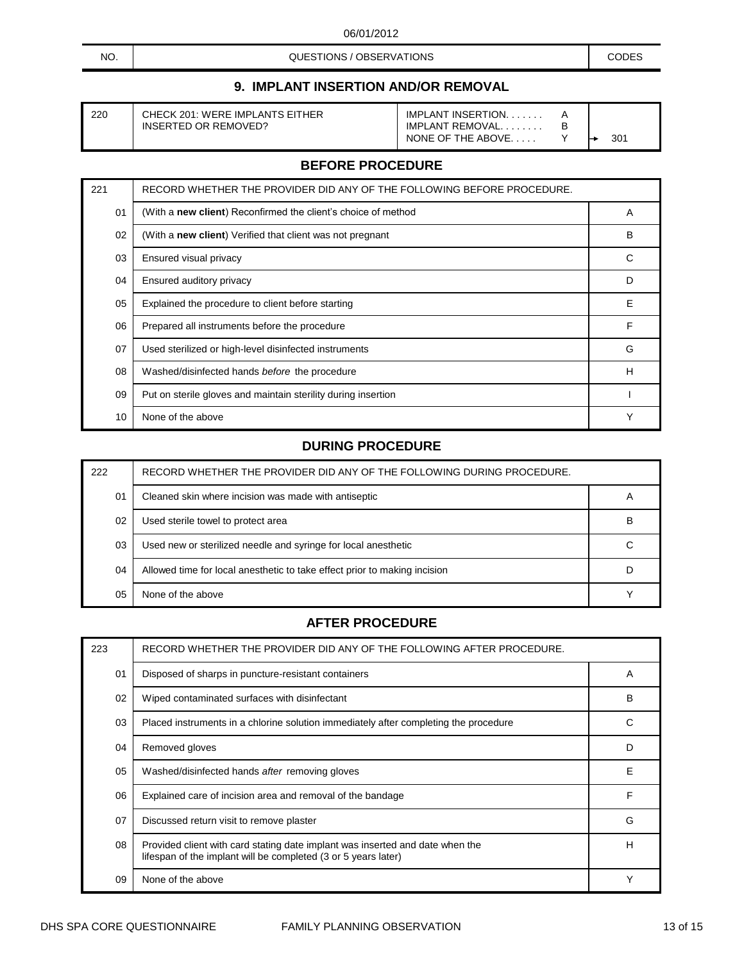NO. NO. NO. A CODES CONSUMING A CODES CODES CODES CODES AND CODES

# **9. IMPLANT INSERTION AND/OR REMOVAL**

| 220<br>CHECK 201: WERE IMPLANTS EITHER<br>INSERTED OR REMOVED? | <b>IMPLANT INSERTION.</b><br>IMPLANT REMOVAL<br>NONE OF THE ABOVE. |  | 301 |
|----------------------------------------------------------------|--------------------------------------------------------------------|--|-----|
|----------------------------------------------------------------|--------------------------------------------------------------------|--|-----|

#### **BEFORE PROCEDURE**

| 221 | RECORD WHETHER THE PROVIDER DID ANY OF THE FOLLOWING BEFORE PROCEDURE. |   |
|-----|------------------------------------------------------------------------|---|
| 01  | (With a new client) Reconfirmed the client's choice of method          | A |
| 02  | (With a new client) Verified that client was not pregnant              | в |
| 03  | Ensured visual privacy                                                 | C |
| 04  | Ensured auditory privacy                                               | D |
| 05  | Explained the procedure to client before starting                      | E |
| 06  | Prepared all instruments before the procedure                          | F |
| 07  | Used sterilized or high-level disinfected instruments                  | G |
| 08  | Washed/disinfected hands before the procedure                          | Н |
| 09  | Put on sterile gloves and maintain sterility during insertion          |   |
| 10  | None of the above                                                      | Υ |

#### **DURING PROCEDURE**

| 222 | RECORD WHETHER THE PROVIDER DID ANY OF THE FOLLOWING DURING PROCEDURE.    |   |
|-----|---------------------------------------------------------------------------|---|
| 01  | Cleaned skin where incision was made with antiseptic                      | A |
| 02  | Used sterile towel to protect area                                        | В |
| 03  | Used new or sterilized needle and syringe for local anesthetic            |   |
| 04  | Allowed time for local anesthetic to take effect prior to making incision |   |
| 05  | None of the above                                                         |   |

| 223            | RECORD WHETHER THE PROVIDER DID ANY OF THE FOLLOWING AFTER PROCEDURE.                                                                           |   |
|----------------|-------------------------------------------------------------------------------------------------------------------------------------------------|---|
| 0 <sub>1</sub> | Disposed of sharps in puncture-resistant containers                                                                                             | A |
| 02             | Wiped contaminated surfaces with disinfectant                                                                                                   | в |
| 03             | Placed instruments in a chlorine solution immediately after completing the procedure                                                            |   |
| 04             | Removed gloves                                                                                                                                  | D |
| 05             | Washed/disinfected hands after removing gloves                                                                                                  | F |
| 06             | Explained care of incision area and removal of the bandage                                                                                      | F |
| 07             | Discussed return visit to remove plaster                                                                                                        | G |
| 08             | Provided client with card stating date implant was inserted and date when the<br>lifespan of the implant will be completed (3 or 5 years later) | н |
| 09             | None of the above                                                                                                                               |   |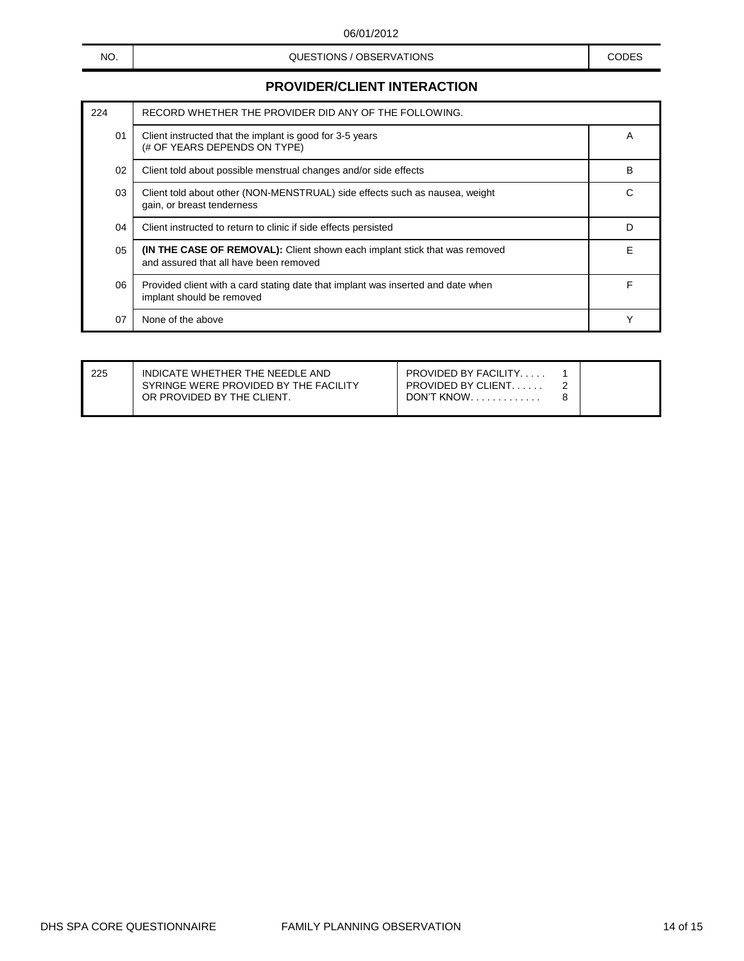### NO. NO. NO. A CODES CONSUMING A CODES CODES CODES CODES AND CODES

# **PROVIDER/CLIENT INTERACTION**

| 224 | RECORD WHETHER THE PROVIDER DID ANY OF THE FOLLOWING.                                                                       |   |
|-----|-----------------------------------------------------------------------------------------------------------------------------|---|
| 01  | Client instructed that the implant is good for 3-5 years<br>(# OF YEARS DEPENDS ON TYPE)                                    | A |
| 02  | Client told about possible menstrual changes and/or side effects                                                            | B |
| 03  | Client told about other (NON-MENSTRUAL) side effects such as nausea, weight<br>gain, or breast tenderness                   | C |
| 04  | Client instructed to return to clinic if side effects persisted                                                             | D |
| 05  | <b>(IN THE CASE OF REMOVAL):</b> Client shown each implant stick that was removed<br>and assured that all have been removed | Е |
| 06  | Provided client with a card stating date that implant was inserted and date when<br>implant should be removed               |   |
| 07  | None of the above                                                                                                           |   |